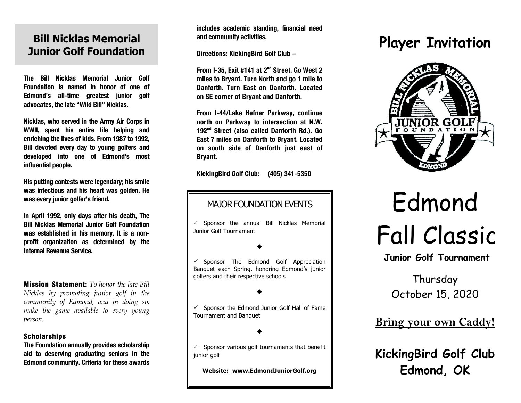## **Bill Nicklas Memorial Junior Golf Foundation**

**The Bill Nicklas Memorial Junior Golf Foundation is named in honor of one of Edmond's all-time greatest junior golf advocates, the late "Wild Bill" Nicklas.**

**Nicklas, who served in the Army Air Corps in WWII, spent his entire life helping and enriching the lives of kids. From 1987 to 1992, Bill devoted every day to young golfers and developed into one of Edmond's most influential people.**

**His putting contests were legendary; his smile was infectious and his heart was golden. He was every junior golfer's friend.**

**In April 1992, only days after his death, The Bill Nicklas Memorial Junior Golf Foundation was established in his memory. It is a nonprofit organization as determined by the Internal Revenue Service.**

**Mission Statement:** *To honor the late Bill Nicklas by promoting junior golf in the community of Edmond, and in doing so, make the game available to every young person.*

#### **Scholarships**

**The Foundation annually provides scholarship aid to deserving graduating seniors in the Edmond community. Criteria for these awards** 

**includes academic standing, financial need and community activities.**

**Directions: KickingBird Golf Club –** 

**From I-35, Exit #141 at 2nd Street. Go West 2 miles to Bryant. Turn North and go 1 mile to Danforth. Turn East on Danforth. Located on SE corner of Bryant and Danforth.**

**From I-44/Lake Hefner Parkway, continue north on Parkway to intersection at N.W. 192nd Street (also called Danforth Rd.). Go East 7 miles on Danforth to Bryant. Located on south side of Danforth just east of Bryant.**

**KickingBird Golf Club: (405) 341-5350**

### MAJOR FOUNDATION EVENTS

 $\checkmark$  Sponsor the annual Bill Nicklas Memorial Junior Golf Tournament

 $\blacklozenge$ 

 $\checkmark$  Sponsor The Edmond Golf Appreciation Banquet each Spring, honoring Edmond's junior golfers and their respective schools

#### $\blacklozenge$

 $\checkmark$  Sponsor the Edmond Junior Golf Hall of Fame Tournament and Banquet

 $\blacklozenge$ 

 $\checkmark$  Sponsor various golf tournaments that benefit junior golf

**Website: www.EdmondJuniorGolf.org**

## **Player Invitation**



# Edmond Fall Classic

**Junior Golf Tournament**

## Thursday October 15, 2020

**Bring your own Caddy!**

**KickingBird Golf Club Edmond, OK**